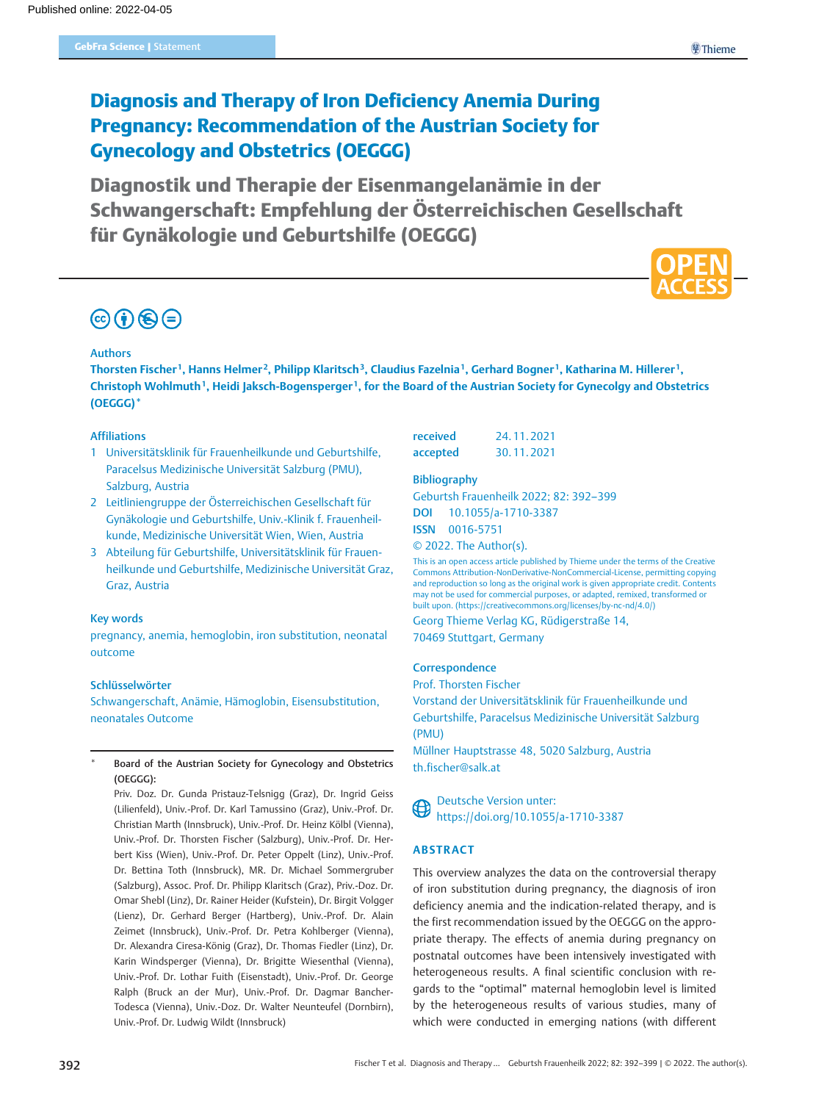## Diagnosis and Therapy of Iron Deficiency Anemia During Pregnancy: Recommendation of the Austrian Society for Gynecology and Obstetrics (OEGGG)

Diagnostik und Therapie der Eisenmangelanämie in der Schwangerschaft: Empfehlung der Österreichischen Gesellschaft für Gynäkologie und Geburtshilfe (OEGGG)

# $\odot$   $\odot$   $\odot$

#### Authors

Thorsten Fischer<sup>1</sup>, Hanns Helmer<sup>2</sup>, Philipp Klaritsch<sup>3</sup>, Claudius Fazelnia<sup>1</sup>, Gerhard Bogner<sup>1</sup>, Katharina M. Hillerer<sup>1</sup>, Christoph Wohlmuth<sup>1</sup>, Heidi Jaksch-Bogensperger<sup>1</sup>, for the Board of the Austrian Society for Gynecolgy and Obstetrics (OEGGG)\*

#### Affiliations

- 1 Universitätsklinik für Frauenheilkunde und Geburtshilfe, Paracelsus Medizinische Universität Salzburg (PMU), Salzburg, Austria
- 2 Leitliniengruppe der Österreichischen Gesellschaft für Gynäkologie und Geburtshilfe, Univ.-Klinik f. Frauenheilkunde, Medizinische Universität Wien, Wien, Austria
- 3 Abteilung für Geburtshilfe, Universitätsklinik für Frauenheilkunde und Geburtshilfe, Medizinische Universität Graz, Graz, Austria

#### Key words

pregnancy, anemia, hemoglobin, iron substitution, neonatal outcome

#### Schlüsselwörter

Schwangerschaft, Anämie, Hämoglobin, Eisensubstitution, neonatales Outcome

#### Board of the Austrian Society for Gynecology and Obstetrics (OEGGG):

Priv. Doz. Dr. Gunda Pristauz-Telsnigg (Graz), Dr. Ingrid Geiss (Lilienfeld), Univ.-Prof. Dr. Karl Tamussino (Graz), Univ.-Prof. Dr. Christian Marth (Innsbruck), Univ.-Prof. Dr. Heinz Kölbl (Vienna), Univ.-Prof. Dr. Thorsten Fischer (Salzburg), Univ.-Prof. Dr. Herbert Kiss (Wien), Univ.-Prof. Dr. Peter Oppelt (Linz), Univ.-Prof. Dr. Bettina Toth (Innsbruck), MR. Dr. Michael Sommergruber (Salzburg), Assoc. Prof. Dr. Philipp Klaritsch (Graz), Priv.-Doz. Dr. Omar Shebl (Linz), Dr. Rainer Heider (Kufstein), Dr. Birgit Volgger (Lienz), Dr. Gerhard Berger (Hartberg), Univ.-Prof. Dr. Alain Zeimet (Innsbruck), Univ.-Prof. Dr. Petra Kohlberger (Vienna), Dr. Alexandra Ciresa-König (Graz), Dr. Thomas Fiedler (Linz), Dr. Karin Windsperger (Vienna), Dr. Brigitte Wiesenthal (Vienna), Univ.-Prof. Dr. Lothar Fuith (Eisenstadt), Univ.-Prof. Dr. George Ralph (Bruck an der Mur), Univ.-Prof. Dr. Dagmar Bancher-Todesca (Vienna), Univ.-Doz. Dr. Walter Neunteufel (Dornbirn), Univ.-Prof. Dr. Ludwig Wildt (Innsbruck)

| received | 24.11.2021 |
|----------|------------|
| accepted | 30.11.2021 |

#### Bibliography

Geburtsh Frauenheilk 2022; 82: 392–399 DOI 10.1055/a-1710-3387 ISSN 0016‑5751

© 2022. The Author(s).

This is an open access article published by Thieme under the terms of the Creative Commons Attribution-NonDerivative-NonCommercial-License, permitting copying and reproduction so long as the original work is given appropriate credit. Contents may not be used for commercial purposes, or adapted, remixed, transformed or built upon. (https://creativecommons.org/licenses/by-nc-nd/4.0/) Georg Thieme Verlag KG, Rüdigerstraße 14, 70469 Stuttgart, Germany

#### **Correspondence**

Prof. Thorsten Fischer

Vorstand der Universitätsklinik für Frauenheilkunde und Geburtshilfe, Paracelsus Medizinische Universität Salzburg (PMU)

Müllner Hauptstrasse 48, 5020 Salzburg, Austria th.fischer@salk.at



Deutsche Version unter: https://doi.org/10.1055/a-1710-3387

#### **ARSTRACT**

This overview analyzes the data on the controversial therapy of iron substitution during pregnancy, the diagnosis of iron deficiency anemia and the indication-related therapy, and is the first recommendation issued by the OEGGG on the appropriate therapy. The effects of anemia during pregnancy on postnatal outcomes have been intensively investigated with heterogeneous results. A final scientific conclusion with regards to the "optimal" maternal hemoglobin level is limited by the heterogeneous results of various studies, many of which were conducted in emerging nations (with different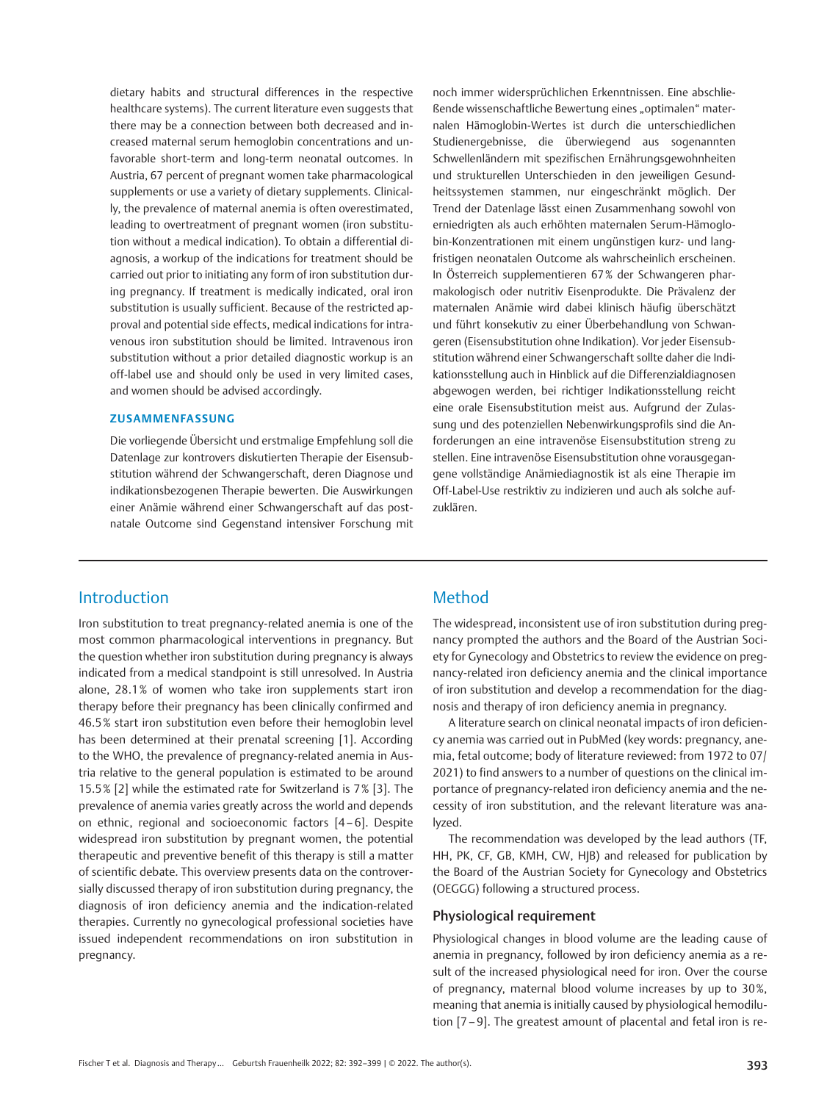dietary habits and structural differences in the respective healthcare systems). The current literature even suggests that there may be a connection between both decreased and increased maternal serum hemoglobin concentrations and unfavorable short-term and long-term neonatal outcomes. In Austria, 67 percent of pregnant women take pharmacological supplements or use a variety of dietary supplements. Clinically, the prevalence of maternal anemia is often overestimated, leading to overtreatment of pregnant women (iron substitution without a medical indication). To obtain a differential diagnosis, a workup of the indications for treatment should be carried out prior to initiating any form of iron substitution during pregnancy. If treatment is medically indicated, oral iron substitution is usually sufficient. Because of the restricted approval and potential side effects, medical indications for intravenous iron substitution should be limited. Intravenous iron substitution without a prior detailed diagnostic workup is an off-label use and should only be used in very limited cases, and women should be advised accordingly.

#### ZUSAMMENFASSUNG

Die vorliegende Übersicht und erstmalige Empfehlung soll die Datenlage zur kontrovers diskutierten Therapie der Eisensubstitution während der Schwangerschaft, deren Diagnose und indikationsbezogenen Therapie bewerten. Die Auswirkungen einer Anämie während einer Schwangerschaft auf das postnatale Outcome sind Gegenstand intensiver Forschung mit noch immer widersprüchlichen Erkenntnissen. Eine abschlie-Bende wissenschaftliche Bewertung eines "optimalen" maternalen Hämoglobin-Wertes ist durch die unterschiedlichen Studienergebnisse, die überwiegend aus sogenannten Schwellenländern mit spezifischen Ernährungsgewohnheiten und strukturellen Unterschieden in den jeweiligen Gesundheitssystemen stammen, nur eingeschränkt möglich. Der Trend der Datenlage lässt einen Zusammenhang sowohl von erniedrigten als auch erhöhten maternalen Serum-Hämoglobin-Konzentrationen mit einem ungünstigen kurz- und langfristigen neonatalen Outcome als wahrscheinlich erscheinen. In Österreich supplementieren 67% der Schwangeren pharmakologisch oder nutritiv Eisenprodukte. Die Prävalenz der maternalen Anämie wird dabei klinisch häufig überschätzt und führt konsekutiv zu einer Überbehandlung von Schwangeren (Eisensubstitution ohne Indikation). Vor jeder Eisensubstitution während einer Schwangerschaft sollte daher die Indikationsstellung auch in Hinblick auf die Differenzialdiagnosen abgewogen werden, bei richtiger Indikationsstellung reicht eine orale Eisensubstitution meist aus. Aufgrund der Zulassung und des potenziellen Nebenwirkungsprofils sind die Anforderungen an eine intravenöse Eisensubstitution streng zu stellen. Eine intravenöse Eisensubstitution ohne vorausgegangene vollständige Anämiediagnostik ist als eine Therapie im Off-Label-Use restriktiv zu indizieren und auch als solche aufzuklären.

## Introduction

Iron substitution to treat pregnancy-related anemia is one of the most common pharmacological interventions in pregnancy. But the question whether iron substitution during pregnancy is always indicated from a medical standpoint is still unresolved. In Austria alone, 28.1% of women who take iron supplements start iron therapy before their pregnancy has been clinically confirmed and 46.5% start iron substitution even before their hemoglobin level has been determined at their prenatal screening [1]. According to the WHO, the prevalence of pregnancy-related anemia in Austria relative to the general population is estimated to be around 15.5% [2] while the estimated rate for Switzerland is 7% [3]. The prevalence of anemia varies greatly across the world and depends on ethnic, regional and socioeconomic factors [4–6]. Despite widespread iron substitution by pregnant women, the potential therapeutic and preventive benefit of this therapy is still a matter of scientific debate. This overview presents data on the controversially discussed therapy of iron substitution during pregnancy, the diagnosis of iron deficiency anemia and the indication-related therapies. Currently no gynecological professional societies have issued independent recommendations on iron substitution in pregnancy.

## Method

The widespread, inconsistent use of iron substitution during pregnancy prompted the authors and the Board of the Austrian Society for Gynecology and Obstetrics to review the evidence on pregnancy-related iron deficiency anemia and the clinical importance of iron substitution and develop a recommendation for the diagnosis and therapy of iron deficiency anemia in pregnancy.

A literature search on clinical neonatal impacts of iron deficiency anemia was carried out in PubMed (key words: pregnancy, anemia, fetal outcome; body of literature reviewed: from 1972 to 07/ 2021) to find answers to a number of questions on the clinical importance of pregnancy-related iron deficiency anemia and the necessity of iron substitution, and the relevant literature was analyzed.

The recommendation was developed by the lead authors (TF, HH, PK, CF, GB, KMH, CW, HJB) and released for publication by the Board of the Austrian Society for Gynecology and Obstetrics (OEGGG) following a structured process.

#### Physiological requirement

Physiological changes in blood volume are the leading cause of anemia in pregnancy, followed by iron deficiency anemia as a result of the increased physiological need for iron. Over the course of pregnancy, maternal blood volume increases by up to 30%, meaning that anemia is initially caused by physiological hemodilution [7–9]. The greatest amount of placental and fetal iron is re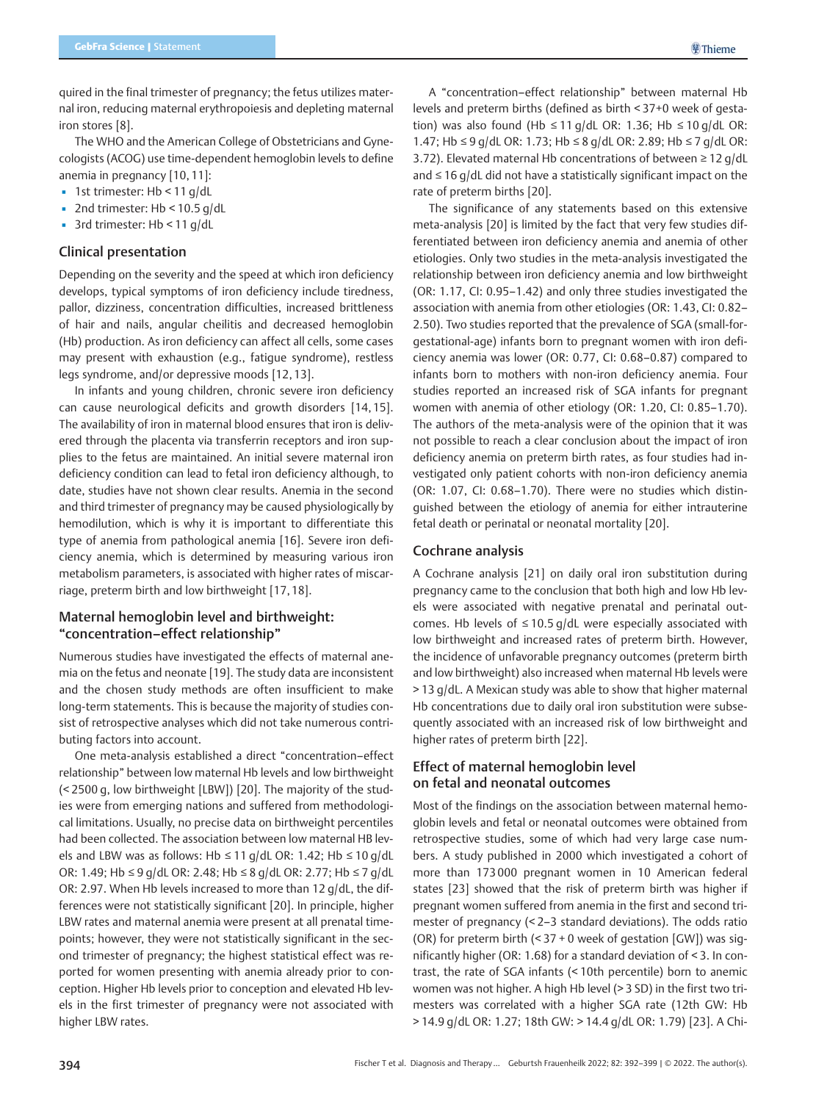quired in the final trimester of pregnancy; the fetus utilizes maternal iron, reducing maternal erythropoiesis and depleting maternal iron stores [8].

The WHO and the American College of Obstetricians and Gynecologists (ACOG) use time-dependent hemoglobin levels to define anemia in pregnancy [10, 11]:

- 1st trimester: Hb < 11 g/dL
- $\blacksquare$  2nd trimester: Hb < 10.5 g/dL
- 3rd trimester: Hb < 11 g/dL

#### Clinical presentation

Depending on the severity and the speed at which iron deficiency develops, typical symptoms of iron deficiency include tiredness, pallor, dizziness, concentration difficulties, increased brittleness of hair and nails, angular cheilitis and decreased hemoglobin (Hb) production. As iron deficiency can affect all cells, some cases may present with exhaustion (e.g., fatigue syndrome), restless legs syndrome, and/or depressive moods [12, 13].

In infants and young children, chronic severe iron deficiency can cause neurological deficits and growth disorders [14, 15]. The availability of iron in maternal blood ensures that iron is delivered through the placenta via transferrin receptors and iron supplies to the fetus are maintained. An initial severe maternal iron deficiency condition can lead to fetal iron deficiency although, to date, studies have not shown clear results. Anemia in the second and third trimester of pregnancy may be caused physiologically by hemodilution, which is why it is important to differentiate this type of anemia from pathological anemia [16]. Severe iron deficiency anemia, which is determined by measuring various iron metabolism parameters, is associated with higher rates of miscarriage, preterm birth and low birthweight [17, 18].

#### Maternal hemoglobin level and birthweight: "concentration–effect relationship"

Numerous studies have investigated the effects of maternal anemia on the fetus and neonate [19]. The study data are inconsistent and the chosen study methods are often insufficient to make long-term statements. This is because the majority of studies consist of retrospective analyses which did not take numerous contributing factors into account.

One meta-analysis established a direct "concentration–effect relationship" between low maternal Hb levels and low birthweight (< 2500 g, low birthweight [LBW]) [20]. The majority of the studies were from emerging nations and suffered from methodological limitations. Usually, no precise data on birthweight percentiles had been collected. The association between low maternal HB levels and LBW was as follows: Hb ≤ 11 g/dL OR: 1.42; Hb ≤ 10 g/dL OR: 1.49; Hb ≤ 9 g/dL OR: 2.48; Hb ≤ 8 g/dL OR: 2.77; Hb ≤ 7 g/dL OR: 2.97. When Hb levels increased to more than 12 g/dL, the differences were not statistically significant [20]. In principle, higher LBW rates and maternal anemia were present at all prenatal timepoints; however, they were not statistically significant in the second trimester of pregnancy; the highest statistical effect was reported for women presenting with anemia already prior to conception. Higher Hb levels prior to conception and elevated Hb levels in the first trimester of pregnancy were not associated with higher LBW rates.

A "concentration–effect relationship" between maternal Hb levels and preterm births (defined as birth < 37+0 week of gestation) was also found (Hb ≤ 11 g/dL OR: 1.36; Hb ≤ 10 g/dL OR: 1.47; Hb ≤ 9 g/dL OR: 1.73; Hb ≤ 8 g/dL OR: 2.89; Hb ≤ 7 g/dL OR: 3.72). Elevated maternal Hb concentrations of between ≥ 12 g/dL and  $\leq$  16 g/dL did not have a statistically significant impact on the rate of preterm births [20].

The significance of any statements based on this extensive meta-analysis [20] is limited by the fact that very few studies differentiated between iron deficiency anemia and anemia of other etiologies. Only two studies in the meta-analysis investigated the relationship between iron deficiency anemia and low birthweight (OR: 1.17, CI: 0.95–1.42) and only three studies investigated the association with anemia from other etiologies (OR: 1.43, CI: 0.82– 2.50). Two studies reported that the prevalence of SGA (small-forgestational-age) infants born to pregnant women with iron deficiency anemia was lower (OR: 0.77, CI: 0.68–0.87) compared to infants born to mothers with non-iron deficiency anemia. Four studies reported an increased risk of SGA infants for pregnant women with anemia of other etiology (OR: 1.20, CI: 0.85–1.70). The authors of the meta-analysis were of the opinion that it was not possible to reach a clear conclusion about the impact of iron deficiency anemia on preterm birth rates, as four studies had investigated only patient cohorts with non-iron deficiency anemia (OR: 1.07, CI: 0.68–1.70). There were no studies which distinguished between the etiology of anemia for either intrauterine fetal death or perinatal or neonatal mortality [20].

#### Cochrane analysis

A Cochrane analysis [21] on daily oral iron substitution during pregnancy came to the conclusion that both high and low Hb levels were associated with negative prenatal and perinatal outcomes. Hb levels of  $\leq 10.5$  g/dL were especially associated with low birthweight and increased rates of preterm birth. However, the incidence of unfavorable pregnancy outcomes (preterm birth and low birthweight) also increased when maternal Hb levels were > 13 g/dL. A Mexican study was able to show that higher maternal Hb concentrations due to daily oral iron substitution were subsequently associated with an increased risk of low birthweight and higher rates of preterm birth [22].

### Effect of maternal hemoglobin level on fetal and neonatal outcomes

Most of the findings on the association between maternal hemoglobin levels and fetal or neonatal outcomes were obtained from retrospective studies, some of which had very large case numbers. A study published in 2000 which investigated a cohort of more than 173 000 pregnant women in 10 American federal states [23] showed that the risk of preterm birth was higher if pregnant women suffered from anemia in the first and second trimester of pregnancy (< 2–3 standard deviations). The odds ratio (OR) for preterm birth (< 37 + 0 week of gestation [GW]) was significantly higher (OR: 1.68) for a standard deviation of < 3. In contrast, the rate of SGA infants (< 10th percentile) born to anemic women was not higher. A high Hb level (> 3 SD) in the first two trimesters was correlated with a higher SGA rate (12th GW: Hb > 14.9 g/dL OR: 1.27; 18th GW: > 14.4 g/dL OR: 1.79) [23]. A Chi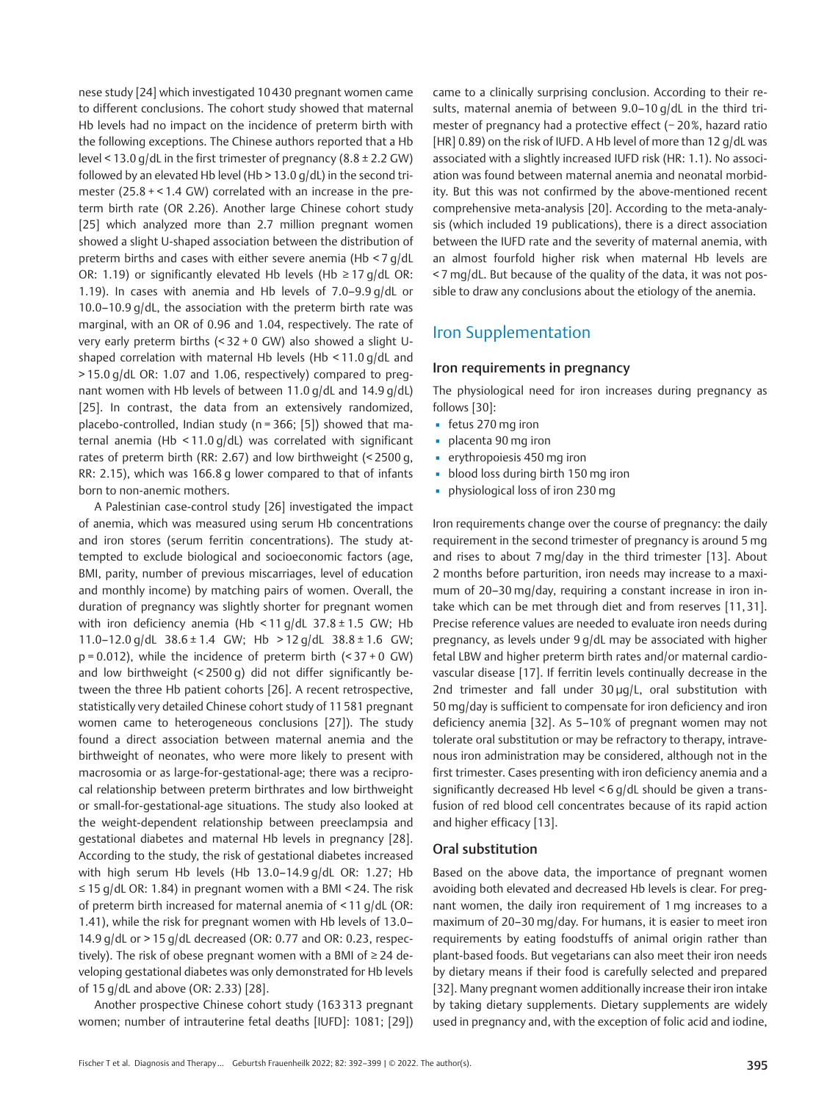nese study [24] which investigated 10 430 pregnant women came to different conclusions. The cohort study showed that maternal Hb levels had no impact on the incidence of preterm birth with the following exceptions. The Chinese authors reported that a Hb level < 13.0 g/dL in the first trimester of pregnancy (8.8 ± 2.2 GW) followed by an elevated Hb level (Hb > 13.0 g/dL) in the second trimester (25.8 + < 1.4 GW) correlated with an increase in the preterm birth rate (OR 2.26). Another large Chinese cohort study [25] which analyzed more than 2.7 million pregnant women showed a slight U-shaped association between the distribution of preterm births and cases with either severe anemia (Hb < 7 g/dL OR: 1.19) or significantly elevated Hb levels (Hb ≥ 17 g/dL OR: 1.19). In cases with anemia and Hb levels of 7.0–9.9 g/dL or 10.0–10.9 g/dL, the association with the preterm birth rate was marginal, with an OR of 0.96 and 1.04, respectively. The rate of very early preterm births (< 32 + 0 GW) also showed a slight Ushaped correlation with maternal Hb levels (Hb < 11.0 g/dL and > 15.0 g/dL OR: 1.07 and 1.06, respectively) compared to pregnant women with Hb levels of between 11.0 g/dL and 14.9 g/dL) [25]. In contrast, the data from an extensively randomized, placebo-controlled, Indian study (n = 366; [5]) showed that maternal anemia (Hb < 11.0 g/dL) was correlated with significant rates of preterm birth (RR: 2.67) and low birthweight (< 2500 g, RR: 2.15), which was 166.8 g lower compared to that of infants born to non-anemic mothers.

A Palestinian case-control study [26] investigated the impact of anemia, which was measured using serum Hb concentrations and iron stores (serum ferritin concentrations). The study attempted to exclude biological and socioeconomic factors (age, BMI, parity, number of previous miscarriages, level of education and monthly income) by matching pairs of women. Overall, the duration of pregnancy was slightly shorter for pregnant women with iron deficiency anemia (Hb <11 g/dL 37.8 ± 1.5 GW; Hb 11.0–12.0 g/dL 38.6 ± 1.4 GW; Hb > 12 g/dL 38.8 ± 1.6 GW;  $p = 0.012$ ), while the incidence of preterm birth  $($ < 37 + 0 GW) and low birthweight (< 2500 g) did not differ significantly between the three Hb patient cohorts [26]. A recent retrospective, statistically very detailed Chinese cohort study of 11 581 pregnant women came to heterogeneous conclusions [27]). The study found a direct association between maternal anemia and the birthweight of neonates, who were more likely to present with macrosomia or as large-for-gestational-age; there was a reciprocal relationship between preterm birthrates and low birthweight or small-for-gestational-age situations. The study also looked at the weight-dependent relationship between preeclampsia and gestational diabetes and maternal Hb levels in pregnancy [28]. According to the study, the risk of gestational diabetes increased with high serum Hb levels (Hb 13.0–14.9 g/dL OR: 1.27; Hb ≤ 15 g/dL OR: 1.84) in pregnant women with a BMI < 24. The risk of preterm birth increased for maternal anemia of < 11 g/dL (OR: 1.41), while the risk for pregnant women with Hb levels of 13.0– 14.9 g/dL or > 15 g/dL decreased (OR: 0.77 and OR: 0.23, respectively). The risk of obese pregnant women with a BMI of ≥ 24 developing gestational diabetes was only demonstrated for Hb levels of 15 g/dL and above (OR: 2.33) [28].

Another prospective Chinese cohort study (163 313 pregnant women; number of intrauterine fetal deaths [IUFD]: 1081; [29]) came to a clinically surprising conclusion. According to their results, maternal anemia of between 9.0–10 g/dL in the third trimester of pregnancy had a protective effect (− 20%, hazard ratio [HR] 0.89) on the risk of IUFD. A Hb level of more than 12 g/dL was associated with a slightly increased IUFD risk (HR: 1.1). No association was found between maternal anemia and neonatal morbidity. But this was not confirmed by the above-mentioned recent comprehensive meta-analysis [20]. According to the meta-analysis (which included 19 publications), there is a direct association between the IUFD rate and the severity of maternal anemia, with an almost fourfold higher risk when maternal Hb levels are < 7 mg/dL. But because of the quality of the data, it was not possible to draw any conclusions about the etiology of the anemia.

## Iron Supplementation

#### Iron requirements in pregnancy

The physiological need for iron increases during pregnancy as follows [30]:

- fetus 270 mg iron
- placenta 90 mg iron
- erythropoiesis 450 mg iron
- blood loss during birth 150 mg iron
- **•** physiological loss of iron 230 mg

Iron requirements change over the course of pregnancy: the daily requirement in the second trimester of pregnancy is around 5 mg and rises to about 7 mg/day in the third trimester [13]. About 2 months before parturition, iron needs may increase to a maximum of 20–30 mg/day, requiring a constant increase in iron intake which can be met through diet and from reserves [11, 31]. Precise reference values are needed to evaluate iron needs during pregnancy, as levels under 9 g/dL may be associated with higher fetal LBW and higher preterm birth rates and/or maternal cardiovascular disease [17]. If ferritin levels continually decrease in the 2nd trimester and fall under  $30 \mu q/L$ , oral substitution with 50 mg/day is sufficient to compensate for iron deficiency and iron deficiency anemia [32]. As 5–10% of pregnant women may not tolerate oral substitution or may be refractory to therapy, intravenous iron administration may be considered, although not in the first trimester. Cases presenting with iron deficiency anemia and a significantly decreased Hb level < 6 g/dL should be given a transfusion of red blood cell concentrates because of its rapid action and higher efficacy [13].

#### Oral substitution

Based on the above data, the importance of pregnant women avoiding both elevated and decreased Hb levels is clear. For pregnant women, the daily iron requirement of 1 mg increases to a maximum of 20–30 mg/day. For humans, it is easier to meet iron requirements by eating foodstuffs of animal origin rather than plant-based foods. But vegetarians can also meet their iron needs by dietary means if their food is carefully selected and prepared [32]. Many pregnant women additionally increase their iron intake by taking dietary supplements. Dietary supplements are widely used in pregnancy and, with the exception of folic acid and iodine,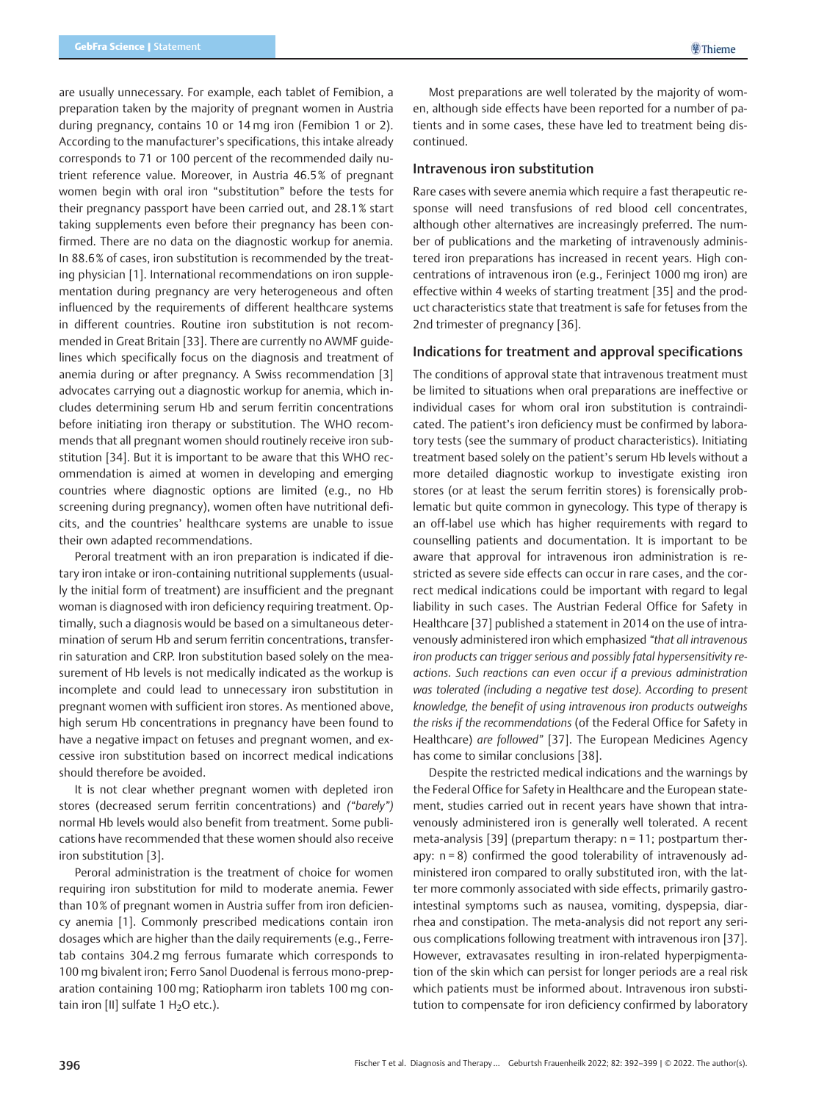are usually unnecessary. For example, each tablet of Femibion, a preparation taken by the majority of pregnant women in Austria during pregnancy, contains 10 or 14 mg iron (Femibion 1 or 2). According to the manufacturer's specifications, this intake already corresponds to 71 or 100 percent of the recommended daily nutrient reference value. Moreover, in Austria 46.5% of pregnant women begin with oral iron "substitution" before the tests for their pregnancy passport have been carried out, and 28.1% start taking supplements even before their pregnancy has been confirmed. There are no data on the diagnostic workup for anemia. In 88.6% of cases, iron substitution is recommended by the treating physician [1]. International recommendations on iron supplementation during pregnancy are very heterogeneous and often influenced by the requirements of different healthcare systems in different countries. Routine iron substitution is not recommended in Great Britain [33]. There are currently no AWMF guidelines which specifically focus on the diagnosis and treatment of anemia during or after pregnancy. A Swiss recommendation [3] advocates carrying out a diagnostic workup for anemia, which includes determining serum Hb and serum ferritin concentrations before initiating iron therapy or substitution. The WHO recommends that all pregnant women should routinely receive iron substitution [34]. But it is important to be aware that this WHO recommendation is aimed at women in developing and emerging countries where diagnostic options are limited (e.g., no Hb screening during pregnancy), women often have nutritional deficits, and the countries' healthcare systems are unable to issue their own adapted recommendations.

Peroral treatment with an iron preparation is indicated if dietary iron intake or iron-containing nutritional supplements (usually the initial form of treatment) are insufficient and the pregnant woman is diagnosed with iron deficiency requiring treatment. Optimally, such a diagnosis would be based on a simultaneous determination of serum Hb and serum ferritin concentrations, transferrin saturation and CRP. Iron substitution based solely on the measurement of Hb levels is not medically indicated as the workup is incomplete and could lead to unnecessary iron substitution in pregnant women with sufficient iron stores. As mentioned above, high serum Hb concentrations in pregnancy have been found to have a negative impact on fetuses and pregnant women, and excessive iron substitution based on incorrect medical indications should therefore be avoided.

It is not clear whether pregnant women with depleted iron stores (decreased serum ferritin concentrations) and ("barely") normal Hb levels would also benefit from treatment. Some publications have recommended that these women should also receive iron substitution [3].

Peroral administration is the treatment of choice for women requiring iron substitution for mild to moderate anemia. Fewer than 10% of pregnant women in Austria suffer from iron deficiency anemia [1]. Commonly prescribed medications contain iron dosages which are higher than the daily requirements (e.g., Ferretab contains 304.2 mg ferrous fumarate which corresponds to 100 mg bivalent iron; Ferro Sanol Duodenal is ferrous mono-preparation containing 100 mg; Ratiopharm iron tablets 100 mg contain iron [II] sulfate  $1$  H<sub>2</sub>O etc.).

Most preparations are well tolerated by the majority of women, although side effects have been reported for a number of patients and in some cases, these have led to treatment being discontinued.

#### Intravenous iron substitution

Rare cases with severe anemia which require a fast therapeutic response will need transfusions of red blood cell concentrates, although other alternatives are increasingly preferred. The number of publications and the marketing of intravenously administered iron preparations has increased in recent years. High concentrations of intravenous iron (e.g., Ferinject 1000 mg iron) are effective within 4 weeks of starting treatment [35] and the product characteristics state that treatment is safe for fetuses from the 2nd trimester of pregnancy [36].

#### Indications for treatment and approval specifications

The conditions of approval state that intravenous treatment must be limited to situations when oral preparations are ineffective or individual cases for whom oral iron substitution is contraindicated. The patient's iron deficiency must be confirmed by laboratory tests (see the summary of product characteristics). Initiating treatment based solely on the patient's serum Hb levels without a more detailed diagnostic workup to investigate existing iron stores (or at least the serum ferritin stores) is forensically problematic but quite common in gynecology. This type of therapy is an off-label use which has higher requirements with regard to counselling patients and documentation. It is important to be aware that approval for intravenous iron administration is restricted as severe side effects can occur in rare cases, and the correct medical indications could be important with regard to legal liability in such cases. The Austrian Federal Office for Safety in Healthcare [37] published a statement in 2014 on the use of intravenously administered iron which emphasized "that all intravenous iron products can trigger serious and possibly fatal hypersensitivity reactions. Such reactions can even occur if a previous administration was tolerated (including a negative test dose). According to present knowledge, the benefit of using intravenous iron products outweighs the risks if the recommendations (of the Federal Office for Safety in Healthcare) are followed" [37]. The European Medicines Agency has come to similar conclusions [38].

Despite the restricted medical indications and the warnings by the Federal Office for Safety in Healthcare and the European statement, studies carried out in recent years have shown that intravenously administered iron is generally well tolerated. A recent meta-analysis [39] (prepartum therapy: n = 11; postpartum therapy: n = 8) confirmed the good tolerability of intravenously administered iron compared to orally substituted iron, with the latter more commonly associated with side effects, primarily gastrointestinal symptoms such as nausea, vomiting, dyspepsia, diarrhea and constipation. The meta-analysis did not report any serious complications following treatment with intravenous iron [37]. However, extravasates resulting in iron-related hyperpigmentation of the skin which can persist for longer periods are a real risk which patients must be informed about. Intravenous iron substitution to compensate for iron deficiency confirmed by laboratory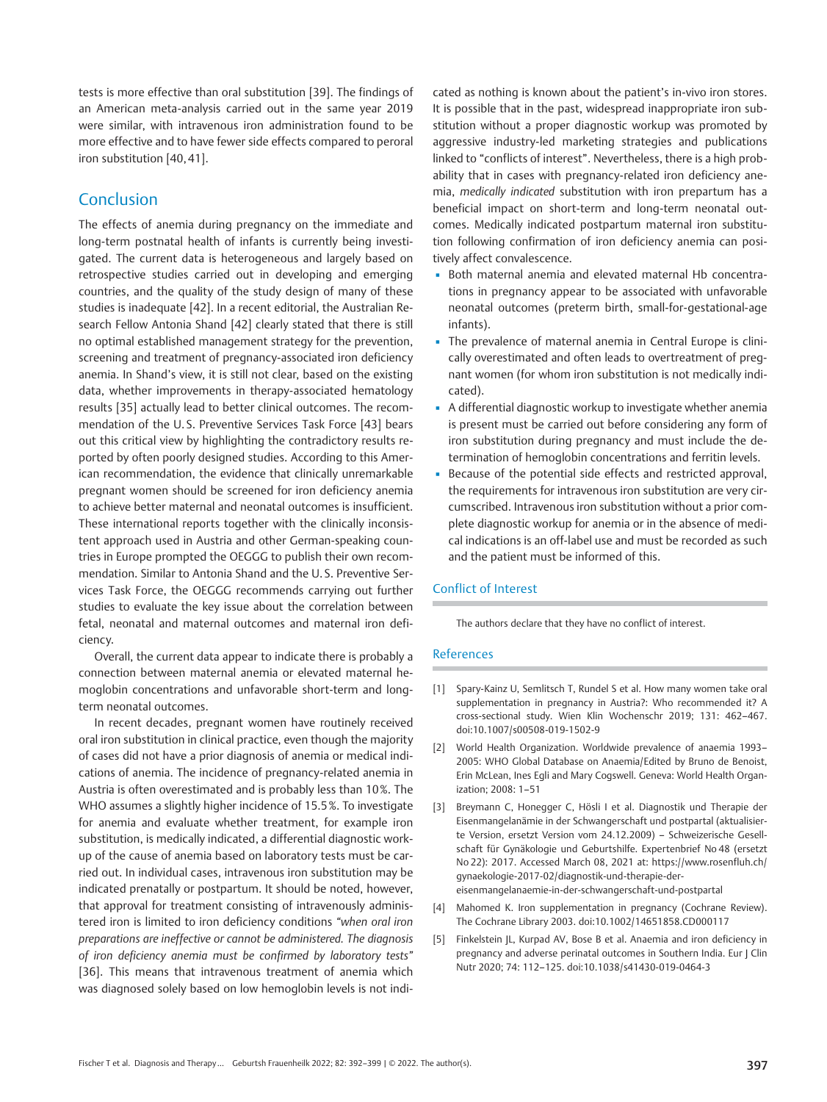tests is more effective than oral substitution [39]. The findings of an American meta-analysis carried out in the same year 2019 were similar, with intravenous iron administration found to be more effective and to have fewer side effects compared to peroral iron substitution [40, 41].

## Conclusion

The effects of anemia during pregnancy on the immediate and long-term postnatal health of infants is currently being investigated. The current data is heterogeneous and largely based on retrospective studies carried out in developing and emerging countries, and the quality of the study design of many of these studies is inadequate [42]. In a recent editorial, the Australian Research Fellow Antonia Shand [42] clearly stated that there is still no optimal established management strategy for the prevention, screening and treatment of pregnancy-associated iron deficiency anemia. In Shand's view, it is still not clear, based on the existing data, whether improvements in therapy-associated hematology results [35] actually lead to better clinical outcomes. The recommendation of the U. S. Preventive Services Task Force [43] bears out this critical view by highlighting the contradictory results reported by often poorly designed studies. According to this American recommendation, the evidence that clinically unremarkable pregnant women should be screened for iron deficiency anemia to achieve better maternal and neonatal outcomes is insufficient. These international reports together with the clinically inconsistent approach used in Austria and other German-speaking countries in Europe prompted the OEGGG to publish their own recommendation. Similar to Antonia Shand and the U. S. Preventive Services Task Force, the OEGGG recommends carrying out further studies to evaluate the key issue about the correlation between fetal, neonatal and maternal outcomes and maternal iron deficiency.

Overall, the current data appear to indicate there is probably a connection between maternal anemia or elevated maternal hemoglobin concentrations and unfavorable short-term and longterm neonatal outcomes.

In recent decades, pregnant women have routinely received oral iron substitution in clinical practice, even though the majority of cases did not have a prior diagnosis of anemia or medical indications of anemia. The incidence of pregnancy-related anemia in Austria is often overestimated and is probably less than 10%. The WHO assumes a slightly higher incidence of 15.5%. To investigate for anemia and evaluate whether treatment, for example iron substitution, is medically indicated, a differential diagnostic workup of the cause of anemia based on laboratory tests must be carried out. In individual cases, intravenous iron substitution may be indicated prenatally or postpartum. It should be noted, however, that approval for treatment consisting of intravenously administered iron is limited to iron deficiency conditions "when oral iron preparations are ineffective or cannot be administered. The diagnosis of iron deficiency anemia must be confirmed by laboratory tests" [36]. This means that intravenous treatment of anemia which was diagnosed solely based on low hemoglobin levels is not indicated as nothing is known about the patient's in-vivo iron stores. It is possible that in the past, widespread inappropriate iron substitution without a proper diagnostic workup was promoted by aggressive industry-led marketing strategies and publications linked to "conflicts of interest". Nevertheless, there is a high probability that in cases with pregnancy-related iron deficiency anemia, medically indicated substitution with iron prepartum has a beneficial impact on short-term and long-term neonatal outcomes. Medically indicated postpartum maternal iron substitution following confirmation of iron deficiency anemia can positively affect convalescence.

- Both maternal anemia and elevated maternal Hb concentrations in pregnancy appear to be associated with unfavorable neonatal outcomes (preterm birth, small-for-gestational-age infants).
- The prevalence of maternal anemia in Central Europe is clinically overestimated and often leads to overtreatment of pregnant women (for whom iron substitution is not medically indicated).
- **•** A differential diagnostic workup to investigate whether anemia is present must be carried out before considering any form of iron substitution during pregnancy and must include the determination of hemoglobin concentrations and ferritin levels.
- Because of the potential side effects and restricted approval, the requirements for intravenous iron substitution are very circumscribed. Intravenous iron substitution without a prior complete diagnostic workup for anemia or in the absence of medical indications is an off-label use and must be recorded as such and the patient must be informed of this.

#### Conflict of Interest

The authors declare that they have no conflict of interest.

#### References

- [1] Spary-Kainz U, Semlitsch T, Rundel S et al. How many women take oral supplementation in pregnancy in Austria?: Who recommended it? A cross-sectional study. Wien Klin Wochenschr 2019; 131: 462–467. doi:10.1007/s00508-019-1502-9
- [2] World Health Organization. Worldwide prevalence of anaemia 1993– 2005: WHO Global Database on Anaemia/Edited by Bruno de Benoist, Erin McLean, Ines Egli and Mary Cogswell. Geneva: World Health Organization; 2008: 1–51
- [3] Breymann C, Honegger C, Hösli I et al. Diagnostik und Therapie der Eisenmangelanämie in der Schwangerschaft und postpartal (aktualisierte Version, ersetzt Version vom 24.12.2009) – Schweizerische Gesellschaft für Gynäkologie und Geburtshilfe. Expertenbrief No 48 (ersetzt No 22): 2017. Accessed March 08, 2021 at: https://www.rosenfluh.ch/ gynaekologie-2017-02/diagnostik-und-therapie-dereisenmangelanaemie-in-der-schwangerschaft-und-postpartal
- [4] Mahomed K. Iron supplementation in pregnancy (Cochrane Review). The Cochrane Library 2003. doi:10.1002/14651858.CD000117
- [5] Finkelstein JL, Kurpad AV, Bose B et al. Anaemia and iron deficiency in pregnancy and adverse perinatal outcomes in Southern India. Eur J Clin Nutr 2020; 74: 112–125. doi:10.1038/s41430-019-0464-3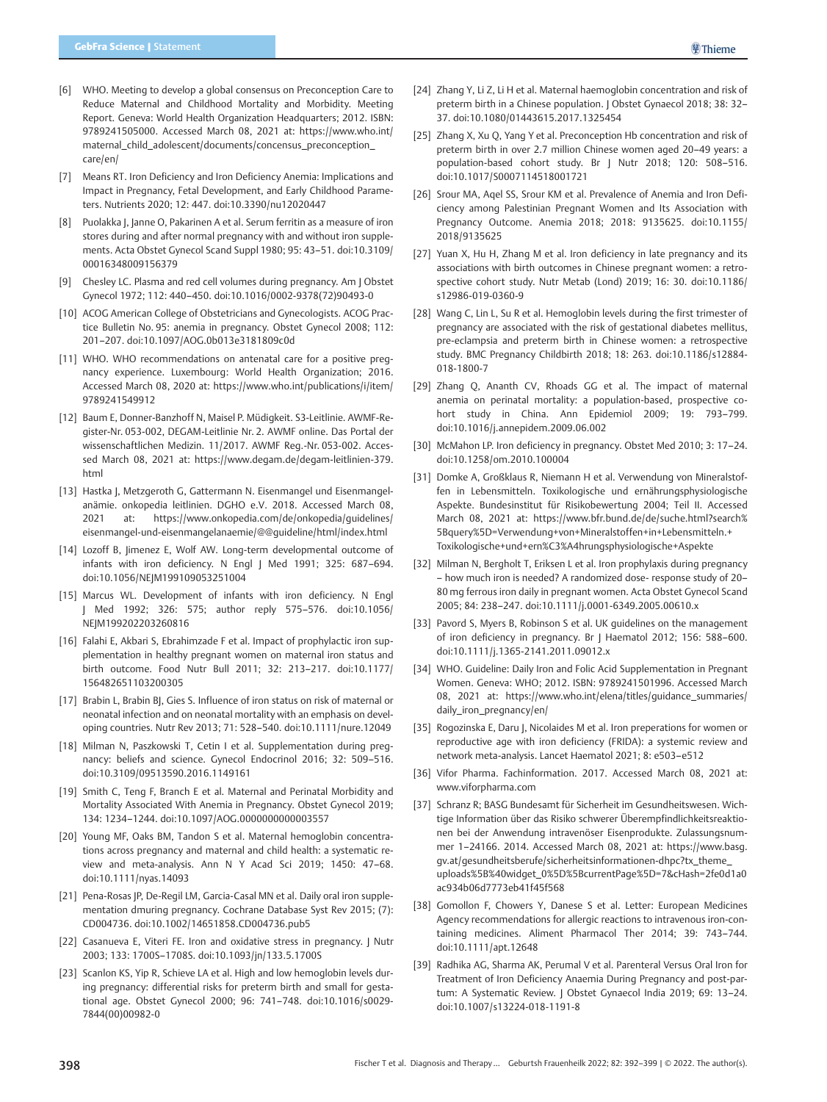- [6] WHO. Meeting to develop a global consensus on Preconception Care to Reduce Maternal and Childhood Mortality and Morbidity. Meeting Report. Geneva: World Health Organization Headquarters; 2012. ISBN: 9789241505000. Accessed March 08, 2021 at: https://www.who.int/ maternal\_child\_adolescent/documents/concensus\_preconception\_ care/en/
- [7] Means RT. Iron Deficiency and Iron Deficiency Anemia: Implications and Impact in Pregnancy, Fetal Development, and Early Childhood Parameters. Nutrients 2020; 12: 447. doi:10.3390/nu12020447
- [8] Puolakka J, Janne O, Pakarinen A et al. Serum ferritin as a measure of iron stores during and after normal pregnancy with and without iron supplements. Acta Obstet Gynecol Scand Suppl 1980; 95: 43–51. doi:10.3109/ 00016348009156379
- [9] Chesley LC. Plasma and red cell volumes during pregnancy. Am J Obstet Gynecol 1972; 112: 440–450. doi:10.1016/0002-9378(72)90493-0
- [10] ACOG American College of Obstetricians and Gynecologists. ACOG Practice Bulletin No. 95: anemia in pregnancy. Obstet Gynecol 2008; 112: 201–207. doi:10.1097/AOG.0b013e3181809c0d
- [11] WHO. WHO recommendations on antenatal care for a positive pregnancy experience. Luxembourg: World Health Organization; 2016. Accessed March 08, 2020 at: https://www.who.int/publications/i/item/ 9789241549912
- [12] Baum E, Donner-Banzhoff N, Maisel P. Müdigkeit. S3-Leitlinie. AWMF-Register-Nr. 053-002, DEGAM-Leitlinie Nr. 2. AWMF online. Das Portal der wissenschaftlichen Medizin. 11/2017. AWMF Reg.-Nr. 053-002. Accessed March 08, 2021 at: https://www.degam.de/degam-leitlinien-379. html
- [13] Hastka J, Metzgeroth G, Gattermann N. Eisenmangel und Eisenmangelanämie. onkopedia leitlinien. DGHO e.V. 2018. Accessed March 08, 2021 at: https://www.onkopedia.com/de/onkopedia/guidelines/ eisenmangel-und-eisenmangelanaemie/@@guideline/html/index.html
- [14] Lozoff B, Jimenez E, Wolf AW. Long-term developmental outcome of infants with iron deficiency. N Engl J Med 1991; 325: 687–694. doi:10.1056/NEJM199109053251004
- [15] Marcus WL. Development of infants with iron deficiency. N Engl J Med 1992; 326: 575; author reply 575–576. doi:10.1056/ NEJM199202203260816
- [16] Falahi E, Akbari S, Ebrahimzade F et al. Impact of prophylactic iron supplementation in healthy pregnant women on maternal iron status and birth outcome. Food Nutr Bull 2011; 32: 213–217. doi:10.1177/ 156482651103200305
- [17] Brabin L, Brabin BJ, Gies S. Influence of iron status on risk of maternal or neonatal infection and on neonatal mortality with an emphasis on developing countries. Nutr Rev 2013; 71: 528–540. doi:10.1111/nure.12049
- [18] Milman N, Paszkowski T, Cetin I et al. Supplementation during pregnancy: beliefs and science. Gynecol Endocrinol 2016; 32: 509–516. doi:10.3109/09513590.2016.1149161
- [19] Smith C, Teng F, Branch E et al. Maternal and Perinatal Morbidity and Mortality Associated With Anemia in Pregnancy. Obstet Gynecol 2019; 134: 1234–1244. doi:10.1097/AOG.0000000000003557
- [20] Young MF, Oaks BM, Tandon S et al. Maternal hemoglobin concentrations across pregnancy and maternal and child health: a systematic review and meta-analysis. Ann N Y Acad Sci 2019; 1450: 47–68. doi:10.1111/nyas.14093
- [21] Pena-Rosas JP, De-Regil LM, Garcia-Casal MN et al. Daily oral iron supplementation dmuring pregnancy. Cochrane Database Syst Rev 2015; (7): CD004736. doi:10.1002/14651858.CD004736.pub5
- [22] Casanueva E, Viteri FE. Iron and oxidative stress in pregnancy. J Nutr 2003; 133: 1700S–1708S. doi:10.1093/jn/133.5.1700S
- [23] Scanlon KS, Yip R, Schieve LA et al. High and low hemoglobin levels during pregnancy: differential risks for preterm birth and small for gestational age. Obstet Gynecol 2000; 96: 741–748. doi:10.1016/s0029- 7844(00)00982-0
- [24] Zhang Y, Li Z, Li H et al. Maternal haemoglobin concentration and risk of preterm birth in a Chinese population. | Obstet Gynaecol 2018; 38: 32-37. doi:10.1080/01443615.2017.1325454
- [25] Zhang X, Xu Q, Yang Y et al. Preconception Hb concentration and risk of preterm birth in over 2.7 million Chinese women aged 20–49 years: a population-based cohort study. Br J Nutr 2018; 120: 508–516. doi:10.1017/S0007114518001721
- [26] Srour MA, Agel SS, Srour KM et al. Prevalence of Anemia and Iron Deficiency among Palestinian Pregnant Women and Its Association with Pregnancy Outcome. Anemia 2018; 2018: 9135625. doi:10.1155/ 2018/9135625
- [27] Yuan X, Hu H, Zhang M et al. Iron deficiency in late pregnancy and its associations with birth outcomes in Chinese pregnant women: a retrospective cohort study. Nutr Metab (Lond) 2019; 16: 30. doi:10.1186/ s12986-019-0360-9
- [28] Wang C, Lin L. Su R et al. Hemoglobin levels during the first trimester of pregnancy are associated with the risk of gestational diabetes mellitus, pre-eclampsia and preterm birth in Chinese women: a retrospective study. BMC Pregnancy Childbirth 2018; 18: 263. doi:10.1186/s12884- 018-1800-7
- [29] Zhang Q, Ananth CV, Rhoads GG et al. The impact of maternal anemia on perinatal mortality: a population-based, prospective cohort study in China. Ann Epidemiol 2009; 19: 793–799. doi:10.1016/j.annepidem.2009.06.002
- [30] McMahon LP. Iron deficiency in pregnancy. Obstet Med 2010; 3: 17–24. doi:10.1258/om.2010.100004
- [31] Domke A, Großklaus R, Niemann H et al. Verwendung von Mineralstoffen in Lebensmitteln. Toxikologische und ernährungsphysiologische Aspekte. Bundesinstitut für Risikobewertung 2004; Teil II. Accessed March 08, 2021 at: https://www.bfr.bund.de/de/suche.html?search% 5Bquery%5D=Verwendung+von+Mineralstoffen+in+Lebensmitteln.+ Toxikologische+und+ern%C3%A4hrungsphysiologische+Aspekte
- [32] Milman N, Bergholt T, Eriksen L et al. Iron prophylaxis during pregnancy – how much iron is needed? A randomized dose- response study of 20– 80 mg ferrous iron daily in pregnant women. Acta Obstet Gynecol Scand 2005; 84: 238–247. doi:10.1111/j.0001-6349.2005.00610.x
- [33] Pavord S, Myers B, Robinson S et al. UK guidelines on the management of iron deficiency in pregnancy. Br J Haematol 2012; 156: 588–600. doi:10.1111/j.1365-2141.2011.09012.x
- [34] WHO. Guideline: Daily Iron and Folic Acid Supplementation in Pregnant Women. Geneva: WHO; 2012. ISBN: 9789241501996. Accessed March 08, 2021 at: https://www.who.int/elena/titles/guidance\_summaries/ daily\_iron\_pregnancy/en/
- [35] Rogozinska E, Daru J, Nicolaides M et al. Iron preperations for women or reproductive age with iron deficiency (FRIDA): a systemic review and network meta-analysis. Lancet Haematol 2021; 8: e503–e512
- [36] Vifor Pharma. Fachinformation. 2017. Accessed March 08, 2021 at: www.viforpharma.com
- [37] Schranz R; BASG Bundesamt für Sicherheit im Gesundheitswesen. Wichtige Information über das Risiko schwerer Überempfindlichkeitsreaktionen bei der Anwendung intravenöser Eisenprodukte. Zulassungsnummer 1–24166. 2014. Accessed March 08, 2021 at: https://www.basg. gv.at/gesundheitsberufe/sicherheitsinformationen-dhpc?tx\_theme\_ uploads%5B%40widget\_0%5D%5BcurrentPage%5D=7&cHash=2fe0d1a0 ac934b06d7773eb41f45f568
- [38] Gomollon F, Chowers Y, Danese S et al. Letter: European Medicines Agency recommendations for allergic reactions to intravenous iron-containing medicines. Aliment Pharmacol Ther 2014; 39: 743–744. doi:10.1111/apt.12648
- [39] Radhika AG, Sharma AK, Perumal V et al. Parenteral Versus Oral Iron for Treatment of Iron Deficiency Anaemia During Pregnancy and post-partum: A Systematic Review. J Obstet Gynaecol India 2019; 69: 13–24. doi:10.1007/s13224-018-1191-8